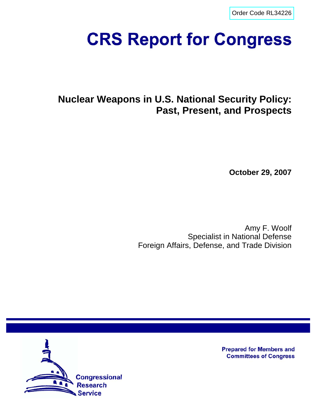[Order Code RL34226](http://www.fas.org/sgp/crs/nuke/index.html)

# **CRS Report for Congress**

# **Nuclear Weapons in U.S. National Security Policy: Past, Present, and Prospects**

**October 29, 2007**

Amy F. Woolf Specialist in National Defense Foreign Affairs, Defense, and Trade Division



**Prepared for Members and Committees of Congress**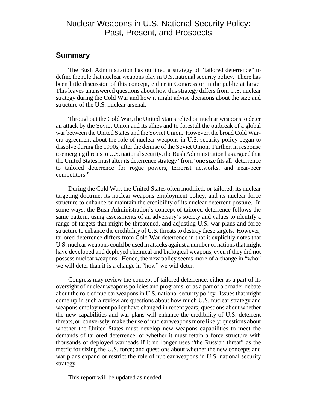## Nuclear Weapons in U.S. National Security Policy: Past, Present, and Prospects

#### **Summary**

The Bush Administration has outlined a strategy of "tailored deterrence" to define the role that nuclear weapons play in U.S. national security policy. There has been little discussion of this concept, either in Congress or in the public at large. This leaves unanswered questions about how this strategy differs from U.S. nuclear strategy during the Cold War and how it might advise decisions about the size and structure of the U.S. nuclear arsenal.

Throughout the Cold War, the United States relied on nuclear weapons to deter an attack by the Soviet Union and its allies and to forestall the outbreak of a global war between the United States and the Soviet Union. However, the broad Cold Warera agreement about the role of nuclear weapons in U.S. security policy began to dissolve during the 1990s, after the demise of the Soviet Union. Further, in response to emerging threats to U.S. national security, the Bush Administration has argued that the United States must alter its deterrence strategy "from 'one size fits all' deterrence to tailored deterrence for rogue powers, terrorist networks, and near-peer competitors."

During the Cold War, the United States often modified, or tailored, its nuclear targeting doctrine, its nuclear weapons employment policy, and its nuclear force structure to enhance or maintain the credibility of its nuclear deterrent posture. In some ways, the Bush Administration's concept of tailored deterrence follows the same pattern, using assessments of an adversary's society and values to identify a range of targets that might be threatened, and adjusting U.S. war plans and force structure to enhance the credibility of U.S. threats to destroy these targets. However, tailored deterrence differs from Cold War deterrence in that it explicitly notes that U.S. nuclear weapons could be used in attacks against a number of nations that might have developed and deployed chemical and biological weapons, even if they did not possess nuclear weapons. Hence, the new policy seems more of a change in "who" we will deter than it is a change in "how" we will deter.

Congress may review the concept of tailored deterrence, either as a part of its oversight of nuclear weapons policies and programs, or as a part of a broader debate about the role of nuclear weapons in U.S. national security policy. Issues that might come up in such a review are questions about how much U.S. nuclear strategy and weapons employment policy have changed in recent years; questions about whether the new capabilities and war plans will enhance the credibility of U.S. deterrent threats, or, conversely, make the use of nuclear weapons more likely; questions about whether the United States must develop new weapons capabilities to meet the demands of tailored deterrence, or whether it must retain a force structure with thousands of deployed warheads if it no longer uses "the Russian threat" as the metric for sizing the U.S. force; and questions about whether the new concepts and war plans expand or restrict the role of nuclear weapons in U.S. national security strategy.

This report will be updated as needed.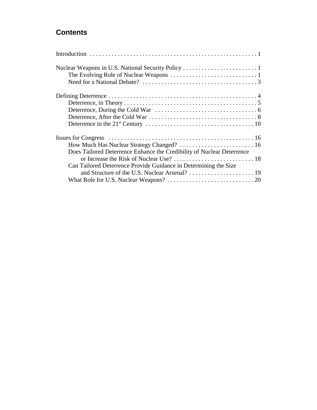## **Contents**

| Does Tailored Deterrence Enhance the Credibility of Nuclear Deterrence |
|------------------------------------------------------------------------|
|                                                                        |
| Can Tailored Deterrence Provide Guidance in Determining the Size       |
|                                                                        |
|                                                                        |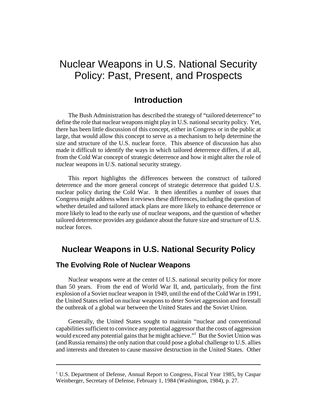## Nuclear Weapons in U.S. National Security Policy: Past, Present, and Prospects

## **Introduction**

The Bush Administration has described the strategy of "tailored deterrence" to define the role that nuclear weapons might play in U.S. national security policy. Yet, there has been little discussion of this concept, either in Congress or in the public at large, that would allow this concept to serve as a mechanism to help determine the size and structure of the U.S. nuclear force. This absence of discussion has also made it difficult to identify the ways in which tailored deterrence differs, if at all, from the Cold War concept of strategic deterrence and how it might alter the role of nuclear weapons in U.S. national security strategy.

This report highlights the differences between the construct of tailored deterrence and the more general concept of strategic deterrence that guided U.S. nuclear policy during the Cold War. It then identifies a number of issues that Congress might address when it reviews these differences, including the question of whether detailed and tailored attack plans are more likely to enhance deterrence or more likely to lead to the early use of nuclear weapons, and the question of whether tailored deterrence provides any guidance about the future size and structure of U.S. nuclear forces.

## **Nuclear Weapons in U.S. National Security Policy**

## **The Evolving Role of Nuclear Weapons**

Nuclear weapons were at the center of U.S. national security policy for more than 50 years. From the end of World War II, and, particularly, from the first explosion of a Soviet nuclear weapon in 1949, until the end of the Cold War in 1991, the United States relied on nuclear weapons to deter Soviet aggression and forestall the outbreak of a global war between the United States and the Soviet Union.

Generally, the United States sought to maintain "nuclear and conventional capabilities sufficient to convince any potential aggressor that the costs of aggression would exceed any potential gains that he might achieve."1 But the Soviet Union was (and Russia remains) the only nation that could pose a global challenge to U.S. allies and interests and threaten to cause massive destruction in the United States. Other

<sup>&</sup>lt;sup>1</sup> U.S. Department of Defense, Annual Report to Congress, Fiscal Year 1985, by Caspar Weinberger, Secretary of Defense, February 1, 1984 (Washington, 1984), p. 27.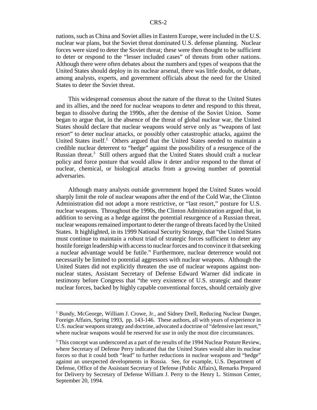nations, such as China and Soviet allies in Eastern Europe, were included in the U.S. nuclear war plans, but the Soviet threat dominated U.S. defense planning. Nuclear forces were sized to deter the Soviet threat; these were then thought to be sufficient to deter or respond to the "lesser included cases" of threats from other nations. Although there were often debates about the numbers and types of weapons that the United States should deploy in its nuclear arsenal, there was little doubt, or debate, among analysts, experts, and government officials about the need for the United States to deter the Soviet threat.

This widespread consensus about the nature of the threat to the United States and its allies, and the need for nuclear weapons to deter and respond to this threat, began to dissolve during the 1990s, after the demise of the Soviet Union. Some began to argue that, in the absence of the threat of global nuclear war, the United States should declare that nuclear weapons would serve only as "weapons of last resort" to deter nuclear attacks, or possibly other catastrophic attacks, against the United States itself.<sup>2</sup> Others argued that the United States needed to maintain a credible nuclear deterrent to "hedge" against the possibility of a resurgence of the Russian threat.<sup>3</sup> Still others argued that the United States should craft a nuclear policy and force posture that would allow it deter and/or respond to the threat of nuclear, chemical, or biological attacks from a growing number of potential adversaries.

Although many analysts outside government hoped the United States would sharply limit the role of nuclear weapons after the end of the Cold War, the Clinton Administration did not adopt a more restrictive, or "last resort," posture for U.S. nuclear weapons. Throughout the 1990s, the Clinton Administration argued that, in addition to serving as a hedge against the potential resurgence of a Russian threat, nuclear weapons remained important to deter the range of threats faced by the United States. It highlighted, in its 1999 National Security Strategy, that "the United States must continue to maintain a robust triad of strategic forces sufficient to deter any hostile foreign leadership with access to nuclear forces and to convince it that seeking a nuclear advantage would be futile." Furthermore, nuclear deterrence would not necessarily be limited to potential aggressors with nuclear weapons. Although the United States did not explicitly threaten the use of nuclear weapons against nonnuclear states, Assistant Secretary of Defense Edward Warner did indicate in testimony before Congress that "the very existence of U.S. strategic and theater nuclear forces, backed by highly capable conventional forces, should certainly give

<sup>&</sup>lt;sup>2</sup> Bundy, McGeorge, William J. Crowe, Jr., and Sidney Drell, Reducing Nuclear Danger, Foreign Affairs, Spring 1993, pp. 143-146. These authors, all with years of experience in U.S. nuclear weapons strategy and doctrine, advocated a doctrine of "defensive last resort," where nuclear weapons would be reserved for use in only the most dire circumstances.

 $3$  This concept was underscored as a part of the results of the 1994 Nuclear Posture Review, where Secretary of Defense Perry indicated that the United States would alter its nuclear forces so that it could both "lead" to further reductions in nuclear weapons and "hedge" against an unexpected developments in Russia. See, for example, U.S. Department of Defense, Office of the Assistant Secretary of Defense (Public Affairs), Remarks Prepared for Delivery by Secretary of Defense William J. Perry to the Henry L. Stimson Center, September 20, 1994.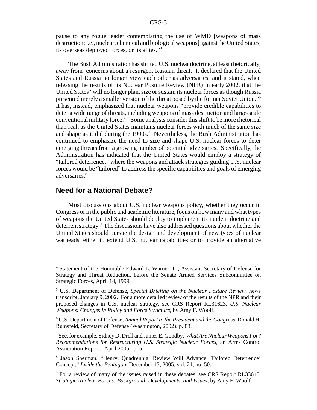pause to any rogue leader contemplating the use of WMD [weapons of mass destruction; i.e., nuclear, chemical and biological weapons] against the United States, its overseas deployed forces, or its allies."4

The Bush Administration has shifted U.S. nuclear doctrine, at least rhetorically, away from concerns about a resurgent Russian threat. It declared that the United States and Russia no longer view each other as adversaries, and it stated, when releasing the results of its Nuclear Posture Review (NPR) in early 2002, that the United States "will no longer plan, size or sustain its nuclear forces as though Russia presented merely a smaller version of the threat posed by the former Soviet Union."5 It has, instead, emphasized that nuclear weapons "provide credible capabilities to deter a wide range of threats, including weapons of mass destruction and large-scale conventional military force."6 Some analysts consider this shift to be more rhetorical than real, as the United States maintains nuclear forces with much of the same size and shape as it did during the  $1990s$ .<sup>7</sup> Nevertheless, the Bush Administration has continued to emphasize the need to size and shape U.S. nuclear forces to deter emerging threats from a growing number of potential adversaries. Specifically, the Administration has indicated that the United States would employ a strategy of "tailored deterrence," where the weapons and attack strategies guiding U.S. nuclear forces would be "tailored" to address the specific capabilities and goals of emerging adversaries.<sup>8</sup>

#### **Need for a National Debate?**

Most discussions about U.S. nuclear weapons policy, whether they occur in Congress or in the public and academic literature, focus on how many and what types of weapons the United States should deploy to implement its nuclear doctrine and deterrent strategy.<sup>9</sup> The discussions have also addressed questions about whether the United States should pursue the design and development of new types of nuclear warheads, either to extend U.S. nuclear capabilities or to provide an alternative

<sup>4</sup> Statement of the Honorable Edward L. Warner, III, Assistant Secretary of Defense for Strategy and Threat Reduction, before the Senate Armed Services Subcommittee on Strategic Forces, April 14, 1999.

<sup>5</sup> U.S. Department of Defense, *Special Briefing on the Nuclear Posture Review*, news transcript, January 9, 2002. For a more detailed review of the results of the NPR and their proposed changes in U.S. nuclear strategy, see CRS Report RL31623, *U.S. Nuclear Weapons: Changes in Policy and Force Structure*, by Amy F. Woolf.

<sup>6</sup> U.S. Department of Defense, *Annual Report to the President and the Congress*, Donald H. Rumsfeld, Secretary of Defense (Washington, 2002), p. 83.

<sup>7</sup> See, for example, Sidney D. Drell and James E. Goodby, *What Are Nuclear Weapons For? Recommendations for Restructuring U.S. Strategic Nuclear Forces*, an Arms Control Association Report, April 2005, p. 5.

<sup>8</sup> Jason Sherman, "Henry: Quadrennial Review Will Advance 'Tailored Deterrence' Concept," *Inside the Pentagon*, December 15, 2005, vol. 21, no. 50.

<sup>&</sup>lt;sup>9</sup> For a review of many of the issues raised in these debates, see CRS Report RL33640, *Strategic Nuclear Forces: Background, Developments, and Issues*, by Amy F. Woolf.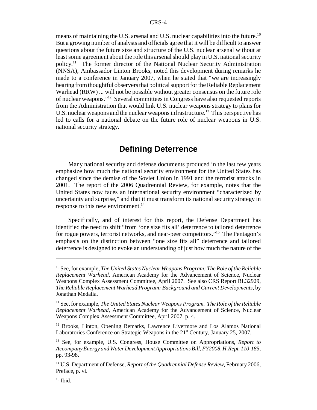means of maintaining the U.S. arsenal and U.S. nuclear capabilities into the future.<sup>10</sup> But a growing number of analysts and officials agree that it will be difficult to answer questions about the future size and structure of the U.S. nuclear arsenal without at least some agreement about the role this arsenal should play in U.S. national security policy.11 The former director of the National Nuclear Security Administration (NNSA), Ambassador Linton Brooks, noted this development during remarks he made to a conference in January 2007, when he stated that "we are increasingly hearing from thoughtful observers that political support for the Reliable Replacement Warhead (RRW) ... will not be possible without greater consensus on the future role of nuclear weapons."12 Several committees in Congress have also requested reports from the Administration that would link U.S. nuclear weapons strategy to plans for U.S. nuclear weapons and the nuclear weapons infrastructure.<sup>13</sup> This perspective has led to calls for a national debate on the future role of nuclear weapons in U.S. national security strategy.

## **Defining Deterrence**

Many national security and defense documents produced in the last few years emphasize how much the national security environment for the United States has changed since the demise of the Soviet Union in 1991 and the terrorist attacks in 2001. The report of the 2006 Quadrennial Review, for example, notes that the United States now faces an international security environment "characterized by uncertainty and surprise," and that it must transform its national security strategy in response to this new environment.<sup>14</sup>

Specifically, and of interest for this report, the Defense Department has identified the need to shift "from 'one size fits all' deterrence to tailored deterrence for rogue powers, terrorist networks, and near-peer competitors."<sup>15</sup> The Pentagon's emphasis on the distinction between "one size fits all" deterrence and tailored deterrence is designed to evoke an understanding of just how much the nature of the

<sup>10</sup> See, for example, *The United States Nuclear Weapons Program: The Role of the Reliable Replacement Warhead*, American Academy for the Advancement of Science, Nuclear Weapons Complex Assessment Committee, April 2007. See also CRS Report RL32929, *The Reliable Replacement Warhead Program: Background and Current Developments*, by Jonathan Medalia.

<sup>&</sup>lt;sup>11</sup> See, for example, *The United States Nuclear Weapons Program. The Role of the Reliable Replacement Warhead*, American Academy for the Advancement of Science, Nuclear Weapons Complex Assessment Committee, April 2007, p. 4.

<sup>&</sup>lt;sup>12</sup> Brooks, Linton, Opening Remarks, Lawrence Livermore and Los Alamos National Laboratories Conference on Strategic Weapons in the 21<sup>st</sup> Century, January 25, 2007.

<sup>13</sup> See, for example, U.S. Congress, House Committee on Appropriations, *Report to Accompany Energy and Water Development Appropriations Bill, FY2008, H.Rept. 110-185*, pp. 93-98.

<sup>&</sup>lt;sup>14</sup> U.S. Department of Defense, *Report of the Quadrennial Defense Review*, February 2006, Preface, p. vi.

 $15$  Ibid.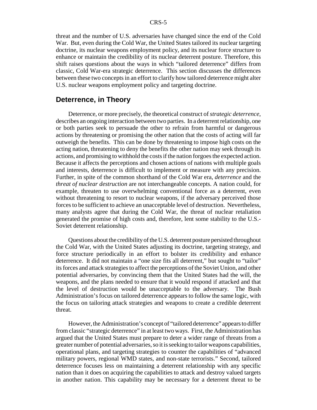threat and the number of U.S. adversaries have changed since the end of the Cold War. But, even during the Cold War, the United States tailored its nuclear targeting doctrine, its nuclear weapons employment policy, and its nuclear force structure to enhance or maintain the credibility of its nuclear deterrent posture. Therefore, this shift raises questions about the ways in which "tailored deterrence" differs from classic, Cold War-era strategic deterrence. This section discusses the differences between these two concepts in an effort to clarify how tailored deterrence might alter U.S. nuclear weapons employment policy and targeting doctrine.

#### **Deterrence, in Theory**

Deterrence, or more precisely, the theoretical construct of *strategic deterrence*, describes an ongoing interaction between two parties. In a deterrent relationship, one or both parties seek to persuade the other to refrain from harmful or dangerous actions by threatening or promising the other nation that the costs of acting will far outweigh the benefits. This can be done by threatening to impose high costs on the acting nation, threatening to deny the benefits the other nation may seek through its actions, and promising to withhold the costs if the nation forgoes the expected action. Because it affects the perceptions and chosen actions of nations with multiple goals and interests, deterrence is difficult to implement or measure with any precision. Further, in spite of the common shorthand of the Cold War era, *deterrence* and the *threat of nuclear destruction* are not interchangeable concepts. A nation could, for example, threaten to use overwhelming conventional force as a deterrent, even without threatening to resort to nuclear weapons, if the adversary perceived those forces to be sufficient to achieve an unacceptable level of destruction. Nevertheless, many analysts agree that during the Cold War, the threat of nuclear retaliation generated the promise of high costs and, therefore, lent some stability to the U.S.- Soviet deterrent relationship.

Questions about the credibility of the U.S. deterrent posture persisted throughout the Cold War, with the United States adjusting its doctrine, targeting strategy, and force structure periodically in an effort to bolster its credibility and enhance deterrence. It did not maintain a "one size fits all deterrent," but sought to "tailor" its forces and attack strategies to affect the perceptions of the Soviet Union, and other potential adversaries, by convincing them that the United States had the will, the weapons, and the plans needed to ensure that it would respond if attacked and that the level of destruction would be unacceptable to the adversary. The Bush Administration's focus on tailored deterrence appears to follow the same logic, with the focus on tailoring attack strategies and weapons to create a credible deterrent threat.

However, the Administration's concept of "tailored deterrence" appears to differ from classic "strategic deterrence" in at least two ways. First, the Administration has argued that the United States must prepare to deter a wider range of threats from a greater number of potential adversaries, so it is seeking to tailor weapons capabilities, operational plans, and targeting strategies to counter the capabilities of "advanced military powers, regional WMD states, and non-state terrorists." Second, tailored deterrence focuses less on maintaining a deterrent relationship with any specific nation than it does on acquiring the capabilities to attack and destroy valued targets in another nation. This capability may be necessary for a deterrent threat to be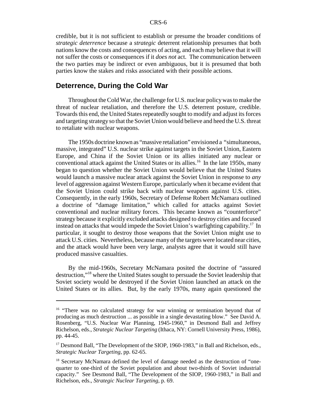credible, but it is not sufficient to establish or presume the broader conditions of *strategic deterrence* because a *strategic* deterrent relationship presumes that both nations know the costs and consequences of acting, and each may believe that it will not suffer the costs or consequences if it *does not* act. The communication between the two parties may be indirect or even ambiguous, but it is presumed that both parties know the stakes and risks associated with their possible actions.

#### **Deterrence, During the Cold War**

Throughout the Cold War, the challenge for U.S. nuclear policy was to make the threat of nuclear retaliation, and therefore the U.S. deterrent posture, credible. Towards this end, the United States repeatedly sought to modify and adjust its forces and targeting strategy so that the Soviet Union would believe and heed the U.S. threat to retaliate with nuclear weapons.

The 1950s doctrine known as "massive retaliation" envisioned a "simultaneous, massive, integrated" U.S. nuclear strike against targets in the Soviet Union, Eastern Europe, and China if the Soviet Union or its allies initiated any nuclear or conventional attack against the United States or its allies.<sup>16</sup> In the late 1950s, many began to question whether the Soviet Union would believe that the United States would launch a massive nuclear attack against the Soviet Union in response to *any* level of aggression against Western Europe, particularly when it became evident that the Soviet Union could strike back with nuclear weapons against U.S. cities. Consequently, in the early 1960s, Secretary of Defense Robert McNamara outlined a doctrine of "damage limitation," which called for attacks against Soviet conventional and nuclear military forces. This became known as "counterforce" strategy because it explicitly excluded attacks designed to destroy cities and focused instead on attacks that would impede the Soviet Union's warfighting capability.<sup>17</sup> In particular, it sought to destroy those weapons that the Soviet Union might use to attack U.S. cities. Nevertheless, because many of the targets were located near cities, and the attack would have been very large, analysts agree that it would still have produced massive casualties.

By the mid-1960s, Secretary McNamara posited the doctrine of "assured destruction,"18 where the United States sought to persuade the Soviet leadership that Soviet society would be destroyed if the Soviet Union launched an attack on the United States or its allies. But, by the early 1970s, many again questioned the

<sup>&</sup>lt;sup>16</sup> "There was no calculated strategy for war winning or termination beyond that of producing as much destruction ... as possible in a single devastating blow." See David A. Rosenberg, "U.S. Nuclear War Planning, 1945-1960," in Desmond Ball and Jeffrey Richelson, eds., *Strategic Nuclear Targeting* (Ithaca, NY: Cornell University Press, 1986), pp. 44-45.

<sup>&</sup>lt;sup>17</sup> Desmond Ball, "The Development of the SIOP, 1960-1983," in Ball and Richelson, eds., *Strategic Nuclear Targeting*, pp. 62-65.

<sup>&</sup>lt;sup>18</sup> Secretary McNamara defined the level of damage needed as the destruction of "onequarter to one-third of the Soviet population and about two-thirds of Soviet industrial capacity." See Desmond Ball, "The Development of the SIOP, 1960-1983," in Ball and Richelson, eds., *Strategic Nuclear Targeting*, p. 69.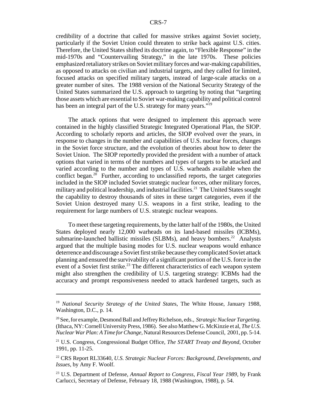credibility of a doctrine that called for massive strikes against Soviet society, particularly if the Soviet Union could threaten to strike back against U.S. cities. Therefore, the United States shifted its doctrine again, to "Flexible Response" in the mid-1970s and "Countervailing Strategy," in the late 1970s. These policies emphasized retaliatory strikes on Soviet military forces and war-making capabilities, as opposed to attacks on civilian and industrial targets, and they called for limited, focused attacks on specified military targets, instead of large-scale attacks on a greater number of sites. The 1988 version of the National Security Strategy of the United States summarized the U.S. approach to targeting by noting that "targeting those assets which are essential to Soviet war-making capability and political control has been an integral part of the U.S. strategy for many years."<sup>19</sup>

The attack options that were designed to implement this approach were contained in the highly classified Strategic Integrated Operational Plan, the SIOP. According to scholarly reports and articles, the SIOP evolved over the years, in response to changes in the number and capabilities of U.S. nuclear forces, changes in the Soviet force structure, and the evolution of theories about how to deter the Soviet Union. The SIOP reportedly provided the president with a number of attack options that varied in terms of the numbers and types of targets to be attacked and varied according to the number and types of U.S. warheads available when the conflict began.<sup>20</sup> Further, according to unclassified reports, the target categories included in the SIOP included Soviet strategic nuclear forces, other military forces, military and political leadership, and industrial facilities.<sup>21</sup> The United States sought the capability to destroy thousands of sites in these target categories, even if the Soviet Union destroyed many U.S. weapons in a first strike, leading to the requirement for large numbers of U.S. strategic nuclear weapons.

To meet these targeting requirements, by the latter half of the 1980s, the United States deployed nearly 12,000 warheads on its land-based missiles (ICBMs), submarine-launched ballistic missiles (SLBMs), and heavy bombers.<sup>22</sup> Analysts argued that the multiple basing modes for U.S. nuclear weapons would enhance deterrence and discourage a Soviet first strike because they complicated Soviet attack planning and ensured the survivability of a significant portion of the U.S. force in the event of a Soviet first strike.<sup>23</sup> The different characteristics of each weapon system might also strengthen the credibility of U.S. targeting strategy: ICBMs had the accuracy and prompt responsiveness needed to attack hardened targets, such as

<sup>19</sup> *National Security Strategy of the United State*s, The White House, January 1988, Washington, D.C., p. 14.

<sup>20</sup> See, for example, Desmond Ball and Jeffrey Richelson, eds., *Strategic Nuclear Targeting*. (Ithaca, NY: Cornell University Press, 1986). See also Matthew G. McKinzie et al, *The U.S. Nuclear War Plan: A Time for Change*, Natural Resources Defense Council, 2001, pp. 5-14.

<sup>21</sup> U.S. Congress, Congressional Budget Office, *The START Treaty and Beyond*, October 1991, pp. 11-25.

<sup>22</sup> CRS Report RL33640, *U.S. Strategic Nuclear Forces: Background, Developments, and Issues*, by Amy F. Woolf.

<sup>23</sup> U.S. Department of Defense, *Annual Report to Congress, Fiscal Year 1989*, by Frank Carlucci, Secretary of Defense, February 18, 1988 (Washington, 1988), p. 54.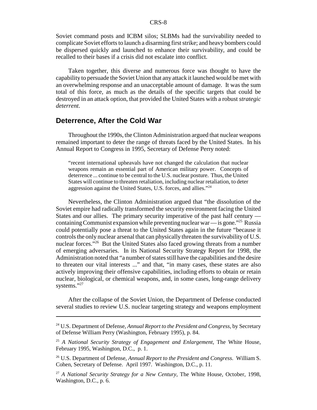Soviet command posts and ICBM silos; SLBMs had the survivability needed to complicate Soviet efforts to launch a disarming first strike; and heavy bombers could be dispersed quickly and launched to enhance their survivability, and could be recalled to their bases if a crisis did not escalate into conflict.

Taken together, this diverse and numerous force was thought to have the capability to persuade the Soviet Union that any attack it launched would be met with an overwhelming response and an unacceptable amount of damage. It was the sum total of this force, as much as the details of the specific targets that could be destroyed in an attack option, that provided the United States with a robust *strategic deterrent*.

### **Deterrence, After the Cold War**

Throughout the 1990s, the Clinton Administration argued that nuclear weapons remained important to deter the range of threats faced by the United States. In his Annual Report to Congress in 1995, Secretary of Defense Perry noted:

"recent international upheavals have not changed the calculation that nuclear weapons remain an essential part of American military power. Concepts of deterrence ... continue to be central to the U.S. nuclear posture. Thus, the United States will continue to threaten retaliation, including nuclear retaliation, to deter aggression against the United States, U.S. forces, and allies."24

Nevertheless, the Clinton Administration argued that "the dissolution of the Soviet empire had radically transformed the security environment facing the United States and our allies. The primary security imperative of the past half century containing Communist expansion while preventing nuclear war — is gone."25 Russia could potentially pose a threat to the United States again in the future "because it controls the only nuclear arsenal that can physically threaten the survivability of U.S. nuclear forces."<sup>26</sup> But the United States also faced growing threats from a number of emerging adversaries. In its National Security Strategy Report for 1998, the Administration noted that "a number of states still have the capabilities and the desire to threaten our vital interests ..." and that, "in many cases, these states are also actively improving their offensive capabilities, including efforts to obtain or retain nuclear, biological, or chemical weapons, and, in some cases, long-range delivery systems."27

After the collapse of the Soviet Union, the Department of Defense conducted several studies to review U.S. nuclear targeting strategy and weapons employment

<sup>24</sup> U.S. Department of Defense, *Annual Report to the President and Congress*, by Secretary of Defense William Perry (Washington, February 1995), p. 84.

<sup>25</sup> *A National Security Strategy of Engagement and Enlargement*, The White House, February 1995, Washington, D.C., p. 1.

<sup>26</sup> U.S. Department of Defense, *Annual Report to the President and Congress*. William S. Cohen, Secretary of Defense. April 1997. Washington, D.C., p. 11.

<sup>27</sup> *A National Security Strategy for a New Century*, The White House, October, 1998, Washington, D.C., p. 6.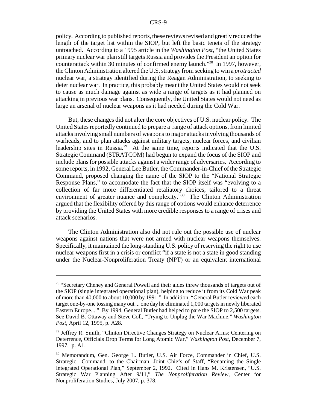policy. According to published reports, these reviews revised and greatly reduced the length of the target list within the SIOP, but left the basic tenets of the strategy untouched. According to a 1995 article in the *Washington Post*, "the United States primary nuclear war plan still targets Russia and provides the President an option for counterattack within 30 minutes of confirmed enemy launch."28 In 1997, however, the Clinton Administration altered the U.S. strategy from seeking to win a *protracted* nuclear war, a strategy identified during the Reagan Administration, to seeking to deter nuclear war. In practice, this probably meant the United States would not seek to cause as much damage against as wide a range of targets as it had planned on attacking in previous war plans. Consequently, the United States would not need as large an arsenal of nuclear weapons as it had needed during the Cold War.

But, these changes did not alter the core objectives of U.S. nuclear policy. The United States reportedly continued to prepare a range of attack options, from limited attacks involving small numbers of weapons to major attacks involving thousands of warheads, and to plan attacks against military targets, nuclear forces, and civilian leadership sites in Russia.<sup>29</sup> At the same time, reports indicated that the U.S. Strategic Command (STRATCOM) had begun to expand the focus of the SIOP and include plans for possible attacks against a wider range of adversaries. According to some reports, in 1992, General Lee Butler, the Commander-in-Chief of the Strategic Command, proposed changing the name of the SIOP to the "National Strategic Response Plans," to accomodate the fact that the SIOP itself was "evolving to a collection of far more differentiated retaliatory choices, tailored to a threat environment of greater nuance and complexity.<sup>"30</sup> The Clinton Administration argued that the flexibility offered by this range of options would enhance deterrence by providing the United States with more credible responses to a range of crises and attack scenarios.

The Clinton Administration also did not rule out the possible use of nuclear weapons against nations that were not armed with nuclear weapons themselves. Specifically, it maintained the long-standing U.S. policy of reserving the right to use nuclear weapons first in a crisis or conflict "if a state is not a state in good standing under the Nuclear-Nonproliferation Treaty (NPT) or an equivalent international

<sup>&</sup>lt;sup>28</sup> "Secretary Cheney and General Powell and their aides threw thousands of targets out of the SIOP (single integrated operational plan), helping to reduce it from its Cold War peak of more than 40,000 to about 10,000 by 1991." In addition, "General Butler reviewed each target one-by-one tossing many out ... one day he eliminated 1,000 targets in newly liberated Eastern Europe...." By 1994, General Butler had helped to pare the SIOP to 2,500 targets. See David B. Ottaway and Steve Coll, "Trying to Unplug the War Machine," *Washington Post*, April 12, 1995, p. A28.

<sup>&</sup>lt;sup>29</sup> Jeffrey R. Smith, "Clinton Directive Changes Strategy on Nuclear Arms; Centering on Deterrence, Officials Drop Terms for Long Atomic War," *Washington Post*, December 7, 1997, p. A1.

<sup>30</sup> Memorandum, Gen. George L. Butler, U.S. Air Force, Commander in Chief, U.S. Strategic Command, to the Chairman, Joint Chiefs of Staff, "Renaming the Single Integrated Operational Plan," September 2, 1992. Cited in Hans M. Kristensen, "U.S. Strategic War Planning After 9/11," *The Nonproliferation Review*, Center for Nonproliferation Studies, July 2007, p. 378.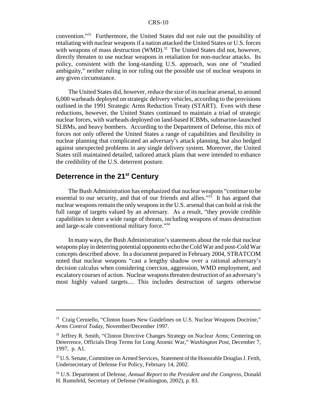convention."31 Furthermore, the United States did not rule out the possibility of retaliating with nuclear weapons if a nation attacked the United States or U.S. forces with weapons of mass destruction (WMD).<sup>32</sup> The United States did not, however, directly threaten to use nuclear weapons in retaliation for non-nuclear attacks. Its policy, consistent with the long-standing U.S. approach, was one of "studied ambiguity," neither ruling in nor ruling out the possible use of nuclear weapons in any given circumstance.

The United States did, however, reduce the size of its nuclear arsenal, to around 6,000 warheads deployed on strategic delivery vehicles, according to the provisions outlined in the 1991 Strategic Arms Reduction Treaty (START). Even with these reductions, however, the United States continued to maintain a triad of strategic nuclear forces, with warheads deployed on land-based ICBMs, submarine-launched SLBMs, and heavy bombers. According to the Department of Defense, this mix of forces not only offered the United States a range of capabilities and flexibility in nuclear planning that complicated an adversary's attack planning, but also hedged against unexpected problems in any single delivery system. Moreover, the United States still maintained detailed, tailored attack plans that were intended to enhance the credibility of the U.S. deterrent posture.

## **Deterrence in the 21st Century**

The Bush Administration has emphasized that nuclear weapons "continue to be essential to our security, and that of our friends and allies." $33$  It has argued that nuclear weapons remain the only weapons in the U.S. arsenal that can hold at risk the full range of targets valued by an adversary. As a result, "they provide credible capabilities to deter a wide range of threats, including weapons of mass destruction and large-scale conventional military force."34

In many ways, the Bush Administration's statements about the role that nuclear weapons play in deterring potential opponents echo the Cold War and post-Cold War concepts described above. In a document prepared in February 2004, STRATCOM noted that nuclear weapons "cast a lengthy shadow over a rational adversary's decision calculus when considering coercion, aggression, WMD employment, and escalatory courses of action. Nuclear weapons threaten destruction of an adversary's most highly valued targets.... This includes destruction of targets otherwise

<sup>&</sup>lt;sup>31</sup> Craig Cerniello, "Clinton Issues New Guidelines on U.S. Nuclear Weapons Doctrine," *Arms Control Today*, November/December 1997.

 $32$  Jeffrey R. Smith, "Clinton Directive Changes Strategy on Nuclear Arms; Centering on Deterrence, Officials Drop Terms for Long Atomic War," *Washington Post*, December 7, 1997, p. A1.

<sup>&</sup>lt;sup>33</sup> U.S. Senate, Committee on Armed Services, Statement of the Honorable Douglas J. Feith, Undersecretary of Defense For Policy, February 14, 2002.

<sup>34</sup> U.S. Department of Defense, *Annual Report to the President and the Congress*, Donald H. Rumsfeld, Secretary of Defense (Washington, 2002), p. 83.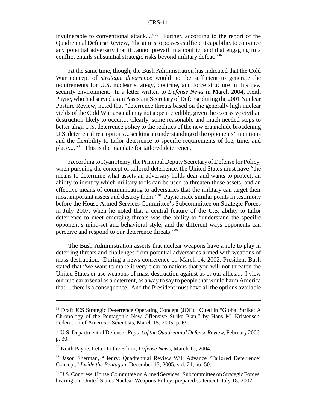invulnerable to conventional attack...."<sup>35</sup> Further, according to the report of the Quadrennial Defense Review, "the aim is to possess sufficient capability to convince any potential adversary that it cannot prevail in a conflict and that engaging in a conflict entails substantial strategic risks beyond military defeat."36

At the same time, though, the Bush Administration has indicated that the Cold War concept of *strategic deterrence* would not be sufficient to generate the requirements for U.S. nuclear strategy, doctrine, and force structure in this new security environment. In a letter written to *Defense News* in March 2004, Keith Payne, who had served as an Assistant Secretary of Defense during the 2001 Nuclear Posture Review, noted that "deterrence threats based on the generally high nuclear yields of the Cold War arsenal may not appear credible, given the excessive civilian destruction likely to occur.... Clearly, some reasonable and much needed steps to better align U.S. deterrence policy to the realities of the new era include broadening U.S. deterrent threat options ... seeking an understanding of the opponents' intentions and the flexibility to tailor deterrence to specific requirements of foe, time, and place...."<sup>37</sup> This is the mandate for tailored deterrence.

According to Ryan Henry, the Principal Deputy Secretary of Defense for Policy, when pursuing the concept of tailored deterrence, the United States must have "the means to determine what assets an adversary holds dear and wants to protect; an ability to identify which military tools can be used to threaten those assets; and an effective means of communicating to adversaries that the military can target their most important assets and destroy them."38 Payne made similar points in testimony before the House Armed Services Committee's Subcommittee on Strategic Forces in July 2007, when he noted that a central feature of the U.S. ability to tailor deterrence to meet emerging threats was the ability to "understand the specific opponent's mind-set and behavioral style, and the different ways opponents can perceive and respond to our deterrence threats."39

The Bush Administration asserts that nuclear weapons have a role to play in deterring threats and challenges from potential adversaries armed with weapons of mass destruction. During a news conference on March 14, 2002, President Bush stated that "we want to make it very clear to nations that you will not threaten the United States or use weapons of mass destruction against us or our allies.... I view our nuclear arsenal as a deterrent, as a way to say to people that would harm America that ... there is a consequence. And the President must have all the options available

<sup>35</sup> Draft JCS Strategic Deterrence Operating Concept (JOC). Cited in "Global Strike: A Chronology of the Pentagon's New Offensive Strike Plan," by Hans M. Kristensen, Federation of American Scientists, March 15, 2005, p. 69.

<sup>36</sup> U.S. Department of Defense, *Report of the Quadrennial Defense Review*, February 2006, p. 30.

<sup>37</sup> Keith Payne, Letter to the Editor, *Defense News*, March 15, 2004.

<sup>38</sup> Jason Sherman, "Henry: Quadrennial Review Will Advance 'Tailored Deterrence' Concept," *Inside the Pentagon*, December 15, 2005, vol. 21, no. 50.

<sup>&</sup>lt;sup>39</sup> U.S. Congress, House Committee on Armed Services, Subcommittee on Strategic Forces, hearing on United States Nuclear Weapons Policy, prepared statement, July 18, 2007.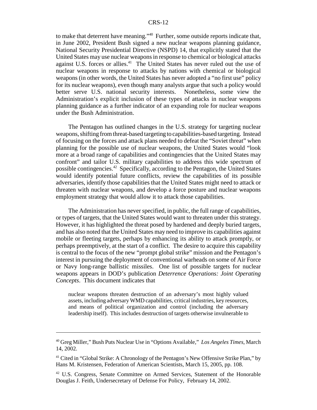to make that deterrent have meaning."40 Further, some outside reports indicate that, in June 2002, President Bush signed a new nuclear weapons planning guidance, National Security Presidential Directive (NSPD) 14, that explicitly stated that the United States may use nuclear weapons in response to chemical or biological attacks against U.S. forces or allies.<sup>41</sup> The United States has never ruled out the use of nuclear weapons in response to attacks by nations with chemical or biological weapons (in other words, the United States has never adopted a "no first use" policy for its nuclear weapons), even though many analysts argue that such a policy would better serve U.S. national security interests. Nonetheless, some view the Administration's explicit inclusion of these types of attacks in nuclear weapons planning guidance as a further indicator of an expanding role for nuclear weapons under the Bush Administration.

The Pentagon has outlined changes in the U.S. strategy for targeting nuclear weapons, shifting from threat-based targeting to capabilities-based targeting. Instead of focusing on the forces and attack plans needed to defeat the "Soviet threat" when planning for the possible use of nuclear weapons, the United States would "look more at a broad range of capabilities and contingencies that the United States may confront" and tailor U.S. military capabilities to address this wide spectrum of possible contingencies.42 Specifically, according to the Pentagon, the United States would identify potential future conflicts, review the capabilities of its possible adversaries, identify those capabilities that the United States might need to attack or threaten with nuclear weapons, and develop a force posture and nuclear weapons employment strategy that would allow it to attack those capabilities.

The Administration has never specified, in public, the full range of capabilities, or types of targets, that the United States would want to threaten under this strategy. However, it has highlighted the threat posed by hardened and deeply buried targets, and has also noted that the United States may need to improve its capabilities against mobile or fleeting targets, perhaps by enhancing its ability to attack promptly, or perhaps preemptively, at the start of a conflict. The desire to acquire this capability is central to the focus of the new "prompt global strike" mission and the Pentagon's interest in pursuing the deployment of conventional warheads on some of Air Force or Navy long-range ballistic missiles. One list of possible targets for nuclear weapons appears in DOD's publication *Deterrence Operations: Joint Operating Concepts*. This document indicates that

nuclear weapons threaten destruction of an adversary's most highly valued assets, including adversary WMD capabilities, critical industries, key resources, and means of political organization and control (including the adversary leadership itself). This includes destruction of targets otherwise invulnerable to

<sup>40</sup> Greg Miller," Bush Puts Nuclear Use in "Options Available," *Los Angeles Times*, March 14, 2002.

<sup>&</sup>lt;sup>41</sup> Cited in "Global Strike: A Chronology of the Pentagon's New Offensive Strike Plan," by Hans M. Kristensen, Federation of American Scientists, March 15, 2005, pp. 108.

<sup>42</sup> U.S. Congress, Senate Committee on Armed Services, Statement of the Honorable Douglas J. Feith, Undersecretary of Defense For Policy, February 14, 2002.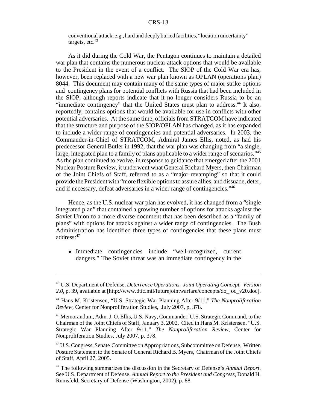conventional attack, e.g., hard and deeply buried facilities, "location uncertainty" targets, etc. $43$ 

As it did during the Cold War, the Pentagon continues to maintain a detailed war plan that contains the numerous nuclear attack options that would be available to the President in the event of a conflict. The SIOP of the Cold War era has, however, been replaced with a new war plan known as OPLAN (operations plan) 8044. This document may contain many of the same types of major strike options and contingency plans for potential conflicts with Russia that had been included in the SIOP, although reports indicate that it no longer considers Russia to be an "immediate contingency" that the United States must plan to address.<sup>44</sup> It also, reportedly, contains options that would be available for use in conflicts with other potential adversaries. At the same time, officials from STRATCOM have indicated that the structure and purpose of the SIOP/OPLAN has changed, as it has expanded to include a wider range of contingencies and potential adversaries. In 2003, the Commander-in-Chief of STRATCOM, Admiral James Ellis, noted, as had his predecessor General Butler in 1992, that the war plan was changing from "a single, large, integrated plan to a family of plans applicable to a wider range of scenarios."45 As the plan continued to evolve, in response to guidance that emerged after the 2001 Nuclear Posture Review, it underwent what General Richard Myers, then Chairman of the Joint Chiefs of Staff, referred to as a "major revamping" so that it could provide the President with "more flexible options to assure allies, and dissuade, deter, and if necessary, defeat adversaries in a wider range of contingencies."46

Hence, as the U.S. nuclear war plan has evolved, it has changed from a "single integrated plan" that contained a growing number of options for attacks against the Soviet Union to a more diverse document that has been described as a "family of plans" with options for attacks against a wider range of contingencies. The Bush Administration has identified three types of contingencies that these plans must address:47

! Immediate contingencies include "well-recognized, current dangers." The Soviet threat was an immediate contingency in the

<sup>43</sup> U.S. Department of Defense, *Deterrence Operations. Joint Operating Concept. Version 2.0*, p. 39, available at [http://www.dtic.mil/futurejointwarfare/concepts/do\_joc\_v20.doc].

<sup>44</sup> Hans M. Kristensen, "U.S. Strategic War Planning After 9/11," *The Nonproliferation Review*, Center for Nonproliferation Studies, July 2007, p. 378.

<sup>45</sup> Memorandum, Adm. J. O. Ellis, U.S. Navy, Commander, U.S. Strategic Command, to the Chairman of the Joint Chiefs of Staff, January 3, 2002. Cited in Hans M. Kristensen, "U.S. Strategic War Planning After 9/11," *The Nonproliferation Review*, Center for Nonproliferation Studies, July 2007, p. 378.

<sup>46</sup> U.S. Congress, Senate Committee on Appropriations, Subcommittee on Defense, Written Posture Statement to the Senate of General Richard B. Myers, Chairman of the Joint Chiefs of Staff, April 27, 2005.

<sup>47</sup> The following summarizes the discussion in the Secretary of Defense's *Annual Report*. See U.S. Department of Defense, *Annual Report to the President and Congress*, Donald H. Rumsfeld, Secretary of Defense (Washington, 2002), p. 88.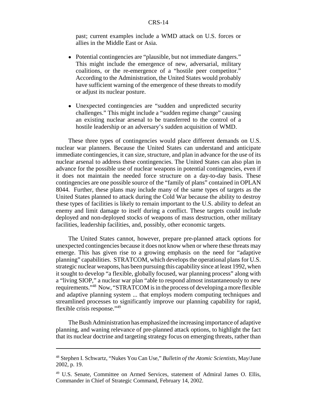past; current examples include a WMD attack on U.S. forces or allies in the Middle East or Asia.

- ! Potential contingencies are "plausible, but not immediate dangers." This might include the emergence of new, adversarial, military coalitions, or the re-emergence of a "hostile peer competitor." According to the Administration, the United States would probably have sufficient warning of the emergence of these threats to modify or adjust its nuclear posture.
- Unexpected contingencies are "sudden and unpredicted security challenges." This might include a "sudden regime change" causing an existing nuclear arsenal to be transferred to the control of a hostile leadership or an adversary's sudden acquisition of WMD.

These three types of contingencies would place different demands on U.S. nuclear war planners. Because the United States can understand and anticipate immediate contingencies, it can size, structure, and plan in advance for the use of its nuclear arsenal to address these contingencies. The United States can also plan in advance for the possible use of nuclear weapons in potential contingencies, even if it does not maintain the needed force structure on a day-to-day basis. These contingencies are one possible source of the "family of plans" contained in OPLAN 8044. Further, these plans may include many of the same types of targets as the United States planned to attack during the Cold War because the ability to destroy these types of facilities is likely to remain important to the U.S. ability to defeat an enemy and limit damage to itself during a conflict. These targets could include deployed and non-deployed stocks of weapons of mass destruction, other military facilities, leadership facilities, and, possibly, other economic targets.

The United States cannot, however, prepare pre-planned attack options for unexpected contingencies because it does not know when or where these threats may emerge. This has given rise to a growing emphasis on the need for "adaptive planning" capabilities. STRATCOM, which develops the operational plans for U.S. strategic nuclear weapons, has been pursuing this capability since at least 1992, when it sought to develop "a flexible, globally focused, war planning process" along with a "living SIOP," a nuclear war plan "able to respond almost instantaneously to new requirements."48 Now, "STRATCOM is in the process of developing a more flexible and adaptive planning system ... that employs modern computing techniques and streamlined processes to significantly improve our planning capability for rapid, flexible crisis response."49

The Bush Administration has emphasized the increasing importance of adaptive planning, and waning relevance of pre-planned attack options, to highlight the fact that its nuclear doctrine and targeting strategy focus on emerging threats, rather than

<sup>48</sup> Stephen I. Schwartz, "Nukes You Can Use," *Bulletin of the Atomic Scientists*, May/June 2002, p. 19.

<sup>&</sup>lt;sup>49</sup> U.S. Senate, Committee on Armed Services, statement of Admiral James O. Ellis, Commander in Chief of Strategic Command, February 14, 2002.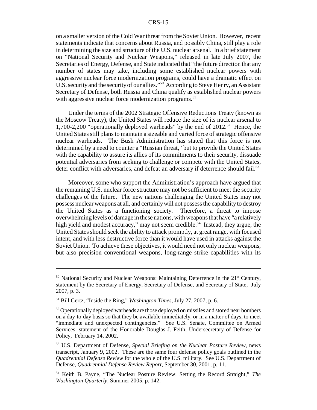on a smaller version of the Cold War threat from the Soviet Union. However, recent statements indicate that concerns about Russia, and possibly China, still play a role in determining the size and structure of the U.S. nuclear arsenal. In a brief statement on "National Security and Nuclear Weapons," released in late July 2007, the Secretaries of Energy, Defense, and State indicated that "the future direction that any number of states may take, including some established nuclear powers with aggressive nuclear force modernization programs, could have a dramatic effect on U.S. security and the security of our allies."<sup>50</sup> According to Steve Henry, an Assistant Secretary of Defense, both Russia and China qualify as established nuclear powers with aggressive nuclear force modernization programs.<sup>51</sup>

Under the terms of the 2002 Strategic Offensive Reductions Treaty (known as the Moscow Treaty), the United States will reduce the size of its nuclear arsenal to 1,700-2,200 "operationally deployed warheads" by the end of  $2012^{52}$  Hence, the United States still plans to maintain a sizeable and varied force of strategic offensive nuclear warheads. The Bush Administration has stated that this force is not determined by a need to counter a "Russian threat," but to provide the United States with the capability to assure its allies of its commitments to their security, dissuade potential adversaries from seeking to challenge or compete with the United States, deter conflict with adversaries, and defeat an adversary if deterrence should fail.<sup>53</sup>

Moreover, some who support the Administration's approach have argued that the remaining U.S. nuclear force structure may not be sufficient to meet the security challenges of the future. The new nations challenging the United States may not possess nuclear weapons at all, and certainly will not possess the capability to destroy the United States as a functioning society. Therefore, a threat to impose overwhelming levels of damage in these nations, with weapons that have "a relatively high yield and modest accuracy," may not seem credible.<sup>54</sup> Instead, they argue, the United States should seek the ability to attack promptly, at great range, with focused intent, and with less destructive force than it would have used in attacks against the Soviet Union. To achieve these objectives, it would need not only nuclear weapons, but also precision conventional weapons, long-range strike capabilities with its

 $50$  National Security and Nuclear Weapons: Maintaining Deterrence in the  $21<sup>st</sup>$  Century, statement by the Secretary of Energy, Secretary of Defense, and Secretary of State, July 2007, p. 3.

<sup>51</sup> Bill Gertz, "Inside the Ring," *Washington Times*, July 27, 2007, p. 6.

 $52$  Operationally deployed warheads are those deployed on missiles and stored near bombers on a day-to-day basis so that they be available immediately, or in a matter of days, to meet "immediate and unexpected contingencies." See U.S. Senate, Committee on Armed Services, statement of the Honorable Douglas J. Feith, Undersecretary of Defense for Policy, February 14, 2002.

<sup>53</sup> U.S. Department of Defense, *Special Briefing on the Nuclear Posture Review*, news transcript, January 9, 2002. These are the same four defense policy goals outlined in the *Quadrennial Defense Review* for the whole of the U.S. military. See U.S. Department of Defense, *Quadrennial Defense Review Report*, September 30, 2001, p. 11.

<sup>54</sup> Keith B. Payne, "The Nuclear Posture Review: Setting the Record Straight," *The Washington Quarterly*, Summer 2005, p. 142.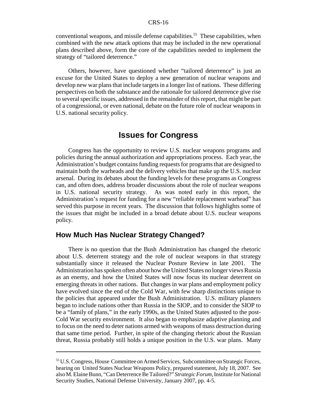conventional weapons, and missile defense capabilities.<sup>55</sup> These capabilities, when combined with the new attack options that may be included in the new operational plans described above, form the core of the capabilities needed to implement the strategy of "tailored deterrence."

Others, however, have questioned whether "tailored deterrence" is just an excuse for the United States to deploy a new generation of nuclear weapons and develop new war plans that include targets in a longer list of nations. These differing perspectives on both the substance and the rationale for tailored deterrence give rise to several specific issues, addressed in the remainder of this report, that might be part of a congressional, or even national, debate on the future role of nuclear weapons in U.S. national security policy.

## **Issues for Congress**

Congress has the opportunity to review U.S. nuclear weapons programs and policies during the annual authorization and appropriations process. Each year, the Administration's budget contains funding requests for programs that are designed to maintain both the warheads and the delivery vehicles that make up the U.S. nuclear arsenal. During its debates about the funding levels for these programs as Congress can, and often does, address broader discussions about the role of nuclear weapons in U.S. national security strategy. As was noted early in this report, the Administration's request for funding for a new "reliable replacement warhead" has served this purpose in recent years. The discussion that follows highlights some of the issues that might be included in a broad debate about U.S. nuclear weapons policy.

#### **How Much Has Nuclear Strategy Changed?**

There is no question that the Bush Administration has changed the rhetoric about U.S. deterrent strategy and the role of nuclear weapons in that strategy substantially since it released the Nuclear Posture Review in late 2001. The Administration has spoken often about how the United States no longer views Russia as an enemy, and how the United States will now focus its nuclear deterrent on emerging threats in other nations. But changes in war plans and employment policy have evolved since the end of the Cold War, with few sharp distinctions unique to the policies that appeared under the Bush Administration. U.S. military planners began to include nations other than Russia in the SIOP, and to consider the SIOP to be a "family of plans," in the early 1990s, as the United States adjusted to the post-Cold War security environment. It also began to emphasize adaptive planning and to focus on the need to deter nations armed with weapons of mass destruction during that same time period. Further, in spite of the changing rhetoric about the Russian threat, Russia probably still holds a unique position in the U.S. war plans. Many

<sup>55</sup> U.S. Congress, House Committee on Armed Services, Subcommittee on Strategic Forces, hearing on United States Nuclear Weapons Policy, prepared statement, July 18, 2007. See also M. Elaine Bunn, "Can Deterrence Be Tailored?" *Strategic Forum*, Institute for National Security Studies, National Defense University, January 2007, pp. 4-5.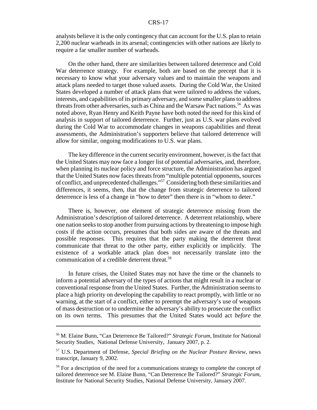analysts believe it is the only contingency that can account for the U.S. plan to retain 2,200 nuclear warheads in its arsenal; contingencies with other nations are likely to require a far smaller number of warheads.

On the other hand, there are similarities between tailored deterrence and Cold War deterrence strategy. For example, both are based on the precept that it is necessary to know what your adversary values and to maintain the weapons and attack plans needed to target those valued assets. During the Cold War, the United States developed a number of attack plans that were tailored to address the values, interests, and capabilities of its primary adversary, and some smaller plans to address threats from other adversaries, such as China and the Warsaw Pact nations.<sup>56</sup> As was noted above, Ryan Henry and Keith Payne have both noted the need for this kind of analysis in support of tailored deterrence. Further, just as U.S. war plans evolved during the Cold War to accommodate changes in weapons capabilities and threat assessments, the Administration's supporters believe that tailored deterrence will allow for similar, ongoing modifications to U.S. war plans.

The key difference in the current security environment, however, is the fact that the United States may now face a longer list of potential adversaries, and, therefore, when planning its nuclear policy and force structure, the Administration has argued that the United States now faces threats from "multiple potential opponents, sources of conflict, and unprecedented challenges."57 Considering both these similarities and differences, it seems, then, that the change from strategic deterrence to tailored deterrence is less of a change in "how to deter" then there is in "whom to deter."

There is, however, one element of strategic deterrence missing from the Administration's description of tailored deterrence. A deterrent relationship, where one nation seeks to stop another from pursuing actions by threatening to impose high costs if the action occurs, presumes that both sides are aware of the threats and possible responses. This requires that the party making the deterrent threat communicate that threat to the other party, either explicitly or implicitly. The existence of a workable attack plan does not necessarily translate into the communication of a credible deterrent threat.<sup>58</sup>

In future crises, the United States may not have the time or the channels to inform a potential adversary of the types of actions that might result in a nuclear or conventional response from the United States. Further, the Administration seems to place a high priority on developing the capability to react promptly, with little or no warning, at the start of a conflict, either to preempt the adversary's use of weapons of mass destruction or to undermine the adversary's ability to prosecute the conflict on its own terms. This presumes that the United States would act *before* the

<sup>56</sup> M. Elaine Bunn, "Can Deterrence Be Tailored?" *Strategic Forum*, Institute for National Security Studies, National Defense University, January 2007, p. 2.

<sup>57</sup> U.S. Department of Defense, *Special Briefing on the Nuclear Posture Review*, news transcript, January 9, 2002.

<sup>&</sup>lt;sup>58</sup> For a description of the need for a communications strategy to complete the concept of tailored deterrence see M. Elaine Bunn, "Can Deterrence Be Tailored?" *Strategic Forum*, Institute for National Security Studies, National Defense University, January 2007.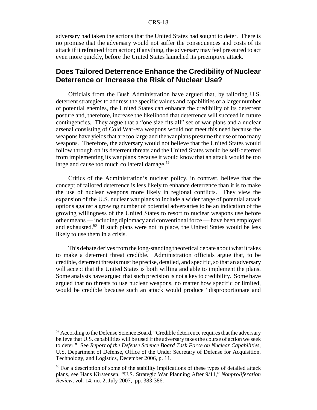adversary had taken the actions that the United States had sought to deter. There is no promise that the adversary would not suffer the consequences and costs of its attack if it refrained from action; if anything, the adversary may feel pressured to act even more quickly, before the United States launched its preemptive attack.

#### **Does Tailored Deterrence Enhance the Credibility of Nuclear Deterrence or Increase the Risk of Nuclear Use?**

Officials from the Bush Administration have argued that, by tailoring U.S. deterrent strategies to address the specific values and capabilities of a larger number of potential enemies, the United States can enhance the credibility of its deterrent posture and, therefore, increase the likelihood that deterrence will succeed in future contingencies. They argue that a "one size fits all" set of war plans and a nuclear arsenal consisting of Cold War-era weapons would not meet this need because the weapons have yields that are too large and the war plans presume the use of too many weapons. Therefore, the adversary would not believe that the United States would follow through on its deterrent threats and the United States would be self-deterred from implementing its war plans because it would know that an attack would be too large and cause too much collateral damage.<sup>59</sup>

Critics of the Administration's nuclear policy, in contrast, believe that the concept of tailored deterrence is less likely to enhance deterrence than it is to make the use of nuclear weapons more likely in regional conflicts. They view the expansion of the U.S. nuclear war plans to include a wider range of potential attack options against a growing number of potential adversaries to be an indication of the growing willingness of the United States to resort to nuclear weapons use before other means — including diplomacy and conventional force — have been employed and exhausted.<sup>60</sup> If such plans were not in place, the United States would be less likely to use them in a crisis.

This debate derives from the long-standing theoretical debate about what it takes to make a deterrent threat credible. Administration officials argue that, to be credible, deterrent threats must be precise, detailed, and specific, so that an adversary will accept that the United States is both willing and able to implement the plans. Some analysts have argued that such precision is not a key to credibility. Some have argued that no threats to use nuclear weapons, no matter how specific or limited, would be credible because such an attack would produce "disproportionate and

<sup>&</sup>lt;sup>59</sup> According to the Defense Science Board, "Credible deterrence requires that the adversary believe that U.S. capabilities will be used if the adversary takes the course of action we seek to deter." See *Report of the Defense Science Board Task Force on Nuclear Capabilities*, U.S. Department of Defense, Office of the Under Secretary of Defense for Acquisition, Technology, and Logistics, December 2006, p. 11.

 $60$  For a description of some of the stability implications of these types of detailed attack plans, see Hans Kirstensen, "U.S. Strategic War Planning After 9/11," *Nonproliferation Review*, vol. 14, no. 2, July 2007, pp. 383-386.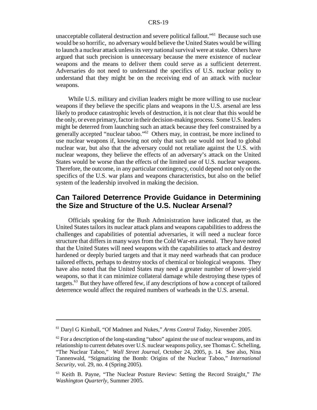unacceptable collateral destruction and severe political fallout."<sup>61</sup> Because such use would be so horrific, no adversary would believe the United States would be willing to launch a nuclear attack unless its very national survival were at stake. Others have argued that such precision is unnecessary because the mere existence of nuclear weapons and the means to deliver them could serve as a sufficient deterrent. Adversaries do not need to understand the specifics of U.S. nuclear policy to understand that they might be on the receiving end of an attack with nuclear weapons.

While U.S. military and civilian leaders might be more willing to use nuclear weapons if they believe the specific plans and weapons in the U.S. arsenal are less likely to produce catastrophic levels of destruction, it is not clear that this would be the only, or even primary, factor in their decision-making process. Some U.S. leaders might be deterred from launching such an attack because they feel constrained by a generally accepted "nuclear taboo."62 Others may, in contrast, be more inclined to use nuclear weapons if, knowing not only that such use would not lead to global nuclear war, but also that the adversary could not retaliate against the U.S. with nuclear weapons, they believe the effects of an adversary's attack on the United States would be worse than the effects of the limited use of U.S. nuclear weapons. Therefore, the outcome, in any particular contingency, could depend not only on the specifics of the U.S. war plans and weapons characteristics, but also on the belief system of the leadership involved in making the decision.

## **Can Tailored Deterrence Provide Guidance in Determining the Size and Structure of the U.S. Nuclear Arsenal?**

Officials speaking for the Bush Administration have indicated that, as the United States tailors its nuclear attack plans and weapons capabilities to address the challenges and capabilities of potential adversaries, it will need a nuclear force structure that differs in many ways from the Cold War-era arsenal. They have noted that the United States will need weapons with the capabilities to attack and destroy hardened or deeply buried targets and that it may need warheads that can produce tailored effects, perhaps to destroy stocks of chemical or biological weapons. They have also noted that the United States may need a greater number of lower-yield weapons, so that it can minimize collateral damage while destroying these types of targets.63 But they have offered few, if any descriptions of how a concept of tailored deterrence would affect the required numbers of warheads in the U.S. arsenal.

<sup>61</sup> Daryl G Kimball, "Of Madmen and Nukes," *Arms Control Today*, November 2005.

 $62$  For a description of the long-standing "taboo" against the use of nuclear weapons, and its relationship to current debates over U.S. nuclear weapons policy, see Thomas C. Schelling, "The Nuclear Taboo," *Wall Street Journal*, October 24, 2005, p. 14. See also, Nina Tannenwald, "Stigmatizing the Bomb: Origins of the Nuclear Taboo," *International Security*, vol. 29, no. 4 (Spring 2005).

<sup>63</sup> Keith B. Payne, "The Nuclear Posture Review: Setting the Record Straight," *The Washington Quarterly*, Summer 2005.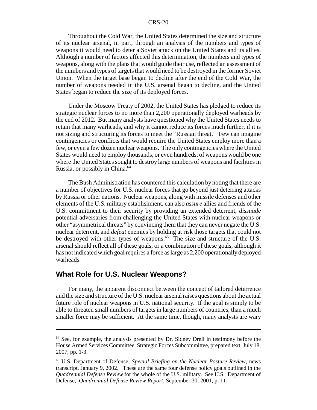Throughout the Cold War, the United States determined the size and structure of its nuclear arsenal, in part, through an analysis of the numbers and types of weapons it would need to deter a Soviet attack on the United States and its allies. Although a number of factors affected this determination, the numbers and types of weapons, along with the plans that would guide their use, reflected an assessment of the numbers and types of targets that would need to be destroyed in the former Soviet Union. When the target base began to decline after the end of the Cold War, the number of weapons needed in the U.S. arsenal began to decline, and the United States began to reduce the size of its deployed forces.

Under the Moscow Treaty of 2002, the United States has pledged to reduce its strategic nuclear forces to no more than 2,200 operationally deployed warheads by the end of 2012. But many analysts have questioned why the United States needs to retain that many warheads, and why it cannot reduce its forces much further, if it is not sizing and structuring its forces to meet the "Russian threat." Few can imagine contingencies or conflicts that would require the United States employ more than a few, or even a few dozen nuclear weapons. The only contingencies where the United States would need to employ thousands, or even hundreds, of weapons would be one where the United States sought to destroy large numbers of weapons and facilities in Russia, or possibly in China.<sup>64</sup>

The Bush Administration has countered this calculation by noting that there are a number of objectives for U.S. nuclear forces that go beyond just deterring attacks by Russia or other nations. Nuclear weapons, along with missile defenses and other elements of the U.S. military establishment, can also *assure* allies and friends of the U.S. commitment to their security by providing an extended deterrent, *dissuade* potential adversaries from challenging the United States with nuclear weapons or other "asymmetrical threats" by convincing them that they can never negate the U.S. nuclear deterrent, and *defeat* enemies by holding at risk those targets that could not be destroyed with other types of weapons.<sup>65</sup> The size and structure of the U.S. arsenal should reflect all of these goals, or a combination of these goals, although it has not indicated which goal requires a force as large as 2,200 operationally deployed warheads.

#### **What Role for U.S. Nuclear Weapons?**

For many, the apparent disconnect between the concept of tailored deterrence and the size and structure of the U.S. nuclear arsenal raises questions about the actual future role of nuclear weapons in U.S. national security. If the goal is simply to be able to threaten small numbers of targets in large numbers of countries, than a much smaller force may be sufficient. At the same time, though, many analysts are wary

<sup>&</sup>lt;sup>64</sup> See, for example, the analysis presented by Dr. Sidney Drell in testimony before the House Armed Services Committee, Strategic Forces Subcommittee, prepared text, July 18, 2007, pp. 1-3.

<sup>65</sup> U.S. Department of Defense, *Special Briefing on the Nuclear Posture Review*, news transcript, January 9, 2002. These are the same four defense policy goals outlined in the *Quadrennial Defense Review* for the whole of the U.S. military. See U.S. Department of Defense, *Quadrennial Defense Review Report*, September 30, 2001, p. 11.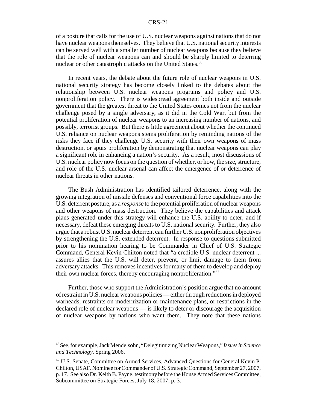of a posture that calls for the use of U.S. nuclear weapons against nations that do not have nuclear weapons themselves. They believe that U.S. national security interests can be served well with a smaller number of nuclear weapons because they believe that the role of nuclear weapons can and should be sharply limited to deterring nuclear or other catastrophic attacks on the United States.<sup>66</sup>

In recent years, the debate about the future role of nuclear weapons in U.S. national security strategy has become closely linked to the debates about the relationship between U.S. nuclear weapons programs and policy and U.S. nonproliferation policy. There is widespread agreement both inside and outside government that the greatest threat to the United States comes not from the nuclear challenge posed by a single adversary, as it did in the Cold War, but from the potential proliferation of nuclear weapons to an increasing number of nations, and possibly, terrorist groups. But there is little agreement about whether the continued U.S. reliance on nuclear weapons stems proliferation by reminding nations of the risks they face if they challenge U.S. security with their own weapons of mass destruction, or spurs proliferation by demonstrating that nuclear weapons can play a significant role in enhancing a nation's security. As a result, most discussions of U.S. nuclear policy now focus on the question of whether, or how, the size, structure, and role of the U.S. nuclear arsenal can affect the emergence of or deterrence of nuclear threats in other nations.

The Bush Administration has identified tailored deterrence, along with the growing integration of missile defenses and conventional force capabilities into the U.S. deterrent posture, as a *response* to the potential proliferation of nuclear weapons and other weapons of mass destruction. They believe the capabilities and attack plans generated under this strategy will enhance the U.S. ability to deter, and if necessary, defeat these emerging threats to U.S. national security. Further, they also argue that a robust U.S. nuclear deterrent can further U.S. nonproliferation objectives by strengthening the U.S. extended deterrent. In response to questions submitted prior to his nomination hearing to be Commander in Chief of U.S. Strategic Command, General Kevin Chilton noted that "a credible U.S. nuclear deterrent ... assures allies that the U.S. will deter, prevent, or limit damage to them from adversary attacks. This removes incentives for many of them to develop and deploy their own nuclear forces, thereby encouraging nonproliferation."67

Further, those who support the Administration's position argue that no amount of restraint in U.S. nuclear weapons policies — either through reductions in deployed warheads, restraints on modernization or maintenance plans, or restrictions in the declared role of nuclear weapons — is likely to deter or discourage the acquisition of nuclear weapons by nations who want them. They note that these nations

<sup>66</sup> See, for example, Jack Mendelsohn, "Delegitimizing Nuclear Weapons," *Issues in Science and Technology*, Spring 2006.

<sup>67</sup> U.S. Senate, Committee on Armed Services, Advanced Questions for General Kevin P. Chilton, USAF. Nominee for Commander of U.S. Strategic Command, September 27, 2007, p. 17. See also Dr. Keith B. Payne, testimony before the House Armed Services Committee, Subcommittee on Strategic Forces, July 18, 2007, p. 3.